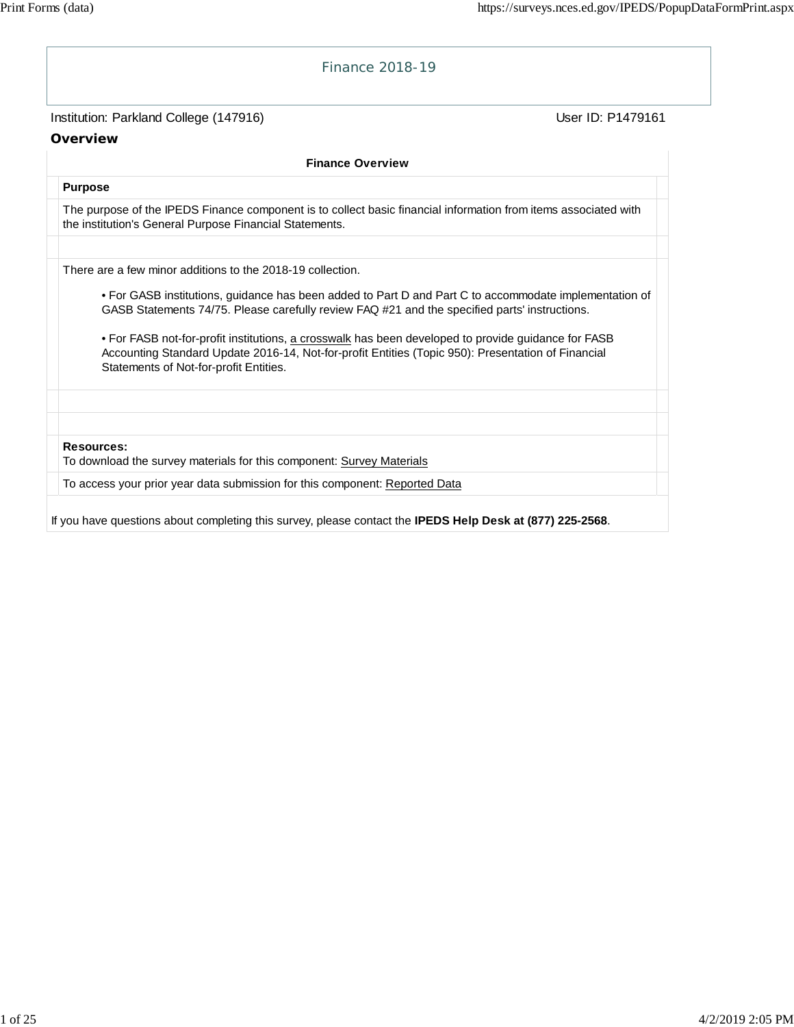| Finance 2018-19                                                                                                                                                                                                                                                                                                                                                                                                                                                                                                              |                   |
|------------------------------------------------------------------------------------------------------------------------------------------------------------------------------------------------------------------------------------------------------------------------------------------------------------------------------------------------------------------------------------------------------------------------------------------------------------------------------------------------------------------------------|-------------------|
| Institution: Parkland College (147916)                                                                                                                                                                                                                                                                                                                                                                                                                                                                                       | User ID: P1479161 |
| Overview                                                                                                                                                                                                                                                                                                                                                                                                                                                                                                                     |                   |
| <b>Finance Overview</b>                                                                                                                                                                                                                                                                                                                                                                                                                                                                                                      |                   |
| <b>Purpose</b>                                                                                                                                                                                                                                                                                                                                                                                                                                                                                                               |                   |
| The purpose of the IPEDS Finance component is to collect basic financial information from items associated with<br>the institution's General Purpose Financial Statements.                                                                                                                                                                                                                                                                                                                                                   |                   |
| There are a few minor additions to the 2018-19 collection.<br>• For GASB institutions, guidance has been added to Part D and Part C to accommodate implementation of<br>GASB Statements 74/75. Please carefully review FAQ #21 and the specified parts' instructions.<br>• For FASB not-for-profit institutions, a crosswalk has been developed to provide guidance for FASB<br>Accounting Standard Update 2016-14, Not-for-profit Entities (Topic 950): Presentation of Financial<br>Statements of Not-for-profit Entities. |                   |
| <b>Resources:</b><br>To download the survey materials for this component: Survey Materials                                                                                                                                                                                                                                                                                                                                                                                                                                   |                   |
| To access your prior year data submission for this component: Reported Data                                                                                                                                                                                                                                                                                                                                                                                                                                                  |                   |
| If you have questions about completing this survey, please contact the IPEDS Help Desk at (877) 225-2568.                                                                                                                                                                                                                                                                                                                                                                                                                    |                   |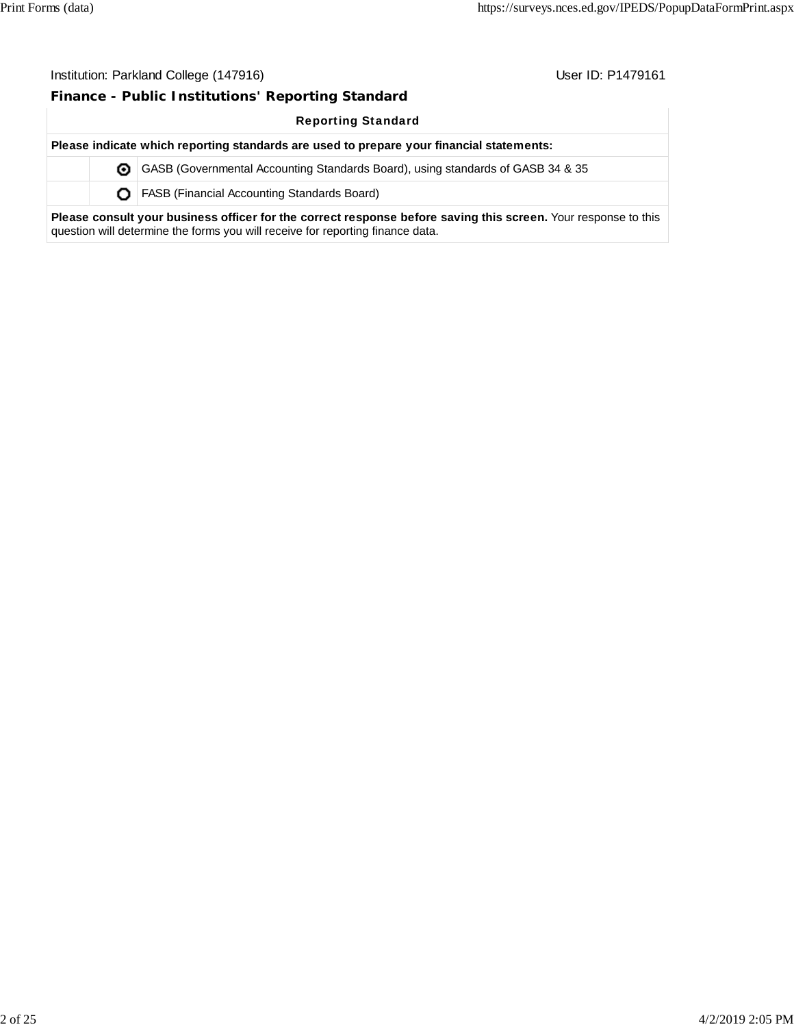### **Finance - Public Institutions' Reporting Standard**

question will determine the forms you will receive for reporting finance data.

Reporting Standard

**Please indicate which reporting standards are used to prepare your financial statements:** GASB (Governmental Accounting Standards Board), using standards of GASB 34 & 35 **O** | FASB (Financial Accounting Standards Board) **Please consult your business officer for the correct response before saving this screen.** Your response to this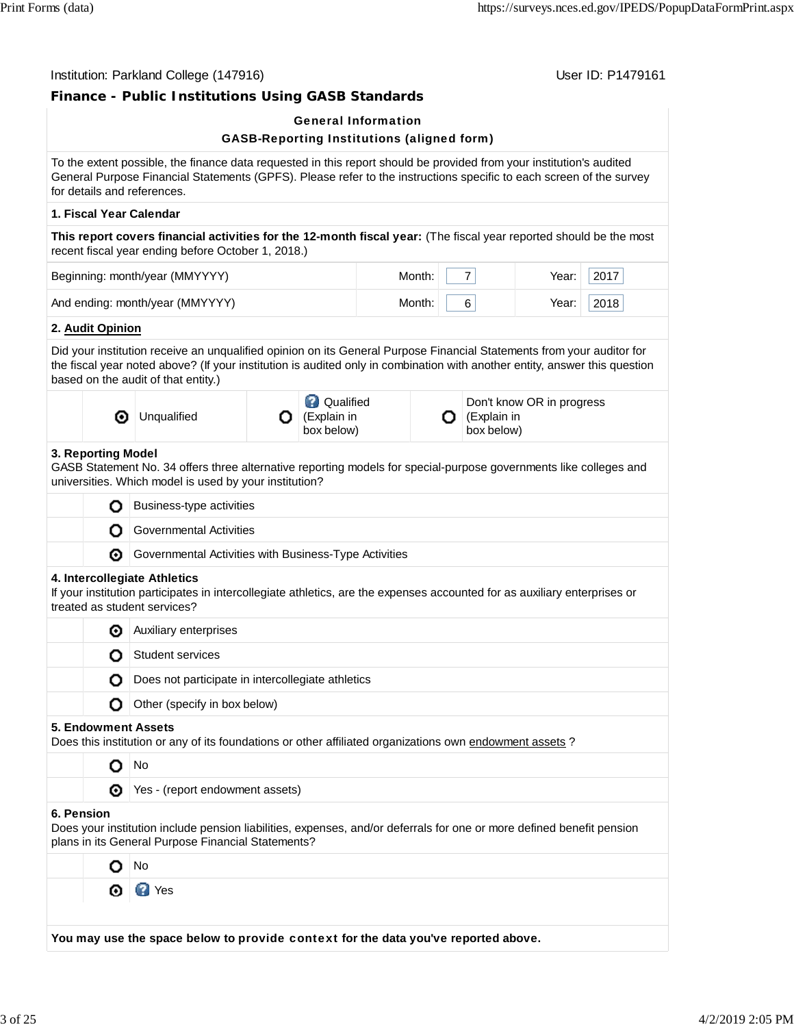|            |                            |                                                                                                                                                                                                                                                                                            |   | <b>General Information</b>                        |        |   |                           |                           |      |  |  |
|------------|----------------------------|--------------------------------------------------------------------------------------------------------------------------------------------------------------------------------------------------------------------------------------------------------------------------------------------|---|---------------------------------------------------|--------|---|---------------------------|---------------------------|------|--|--|
|            |                            | To the extent possible, the finance data requested in this report should be provided from your institution's audited<br>General Purpose Financial Statements (GPFS). Please refer to the instructions specific to each screen of the survey<br>for details and references.                 |   | <b>GASB-Reporting Institutions (aligned form)</b> |        |   |                           |                           |      |  |  |
|            |                            | 1. Fiscal Year Calendar                                                                                                                                                                                                                                                                    |   |                                                   |        |   |                           |                           |      |  |  |
|            |                            | This report covers financial activities for the 12-month fiscal year: (The fiscal year reported should be the most<br>recent fiscal year ending before October 1, 2018.)                                                                                                                   |   |                                                   |        |   |                           |                           |      |  |  |
|            |                            | Beginning: month/year (MMYYYY)                                                                                                                                                                                                                                                             |   |                                                   | Month: |   | 7 <sup>1</sup>            | Year:                     | 2017 |  |  |
|            |                            | And ending: month/year (MMYYYY)                                                                                                                                                                                                                                                            |   | Month:                                            |        | 6 | Year:                     | 2018                      |      |  |  |
|            | 2. Audit Opinion           |                                                                                                                                                                                                                                                                                            |   |                                                   |        |   |                           |                           |      |  |  |
|            |                            | Did your institution receive an unqualified opinion on its General Purpose Financial Statements from your auditor for<br>the fiscal year noted above? (If your institution is audited only in combination with another entity, answer this question<br>based on the audit of that entity.) |   |                                                   |        |   |                           |                           |      |  |  |
|            | ⊙                          | Unqualified                                                                                                                                                                                                                                                                                | О | <b>Q</b> Qualified<br>(Explain in<br>box below)   |        | О | (Explain in<br>box below) | Don't know OR in progress |      |  |  |
|            | 3. Reporting Model         | GASB Statement No. 34 offers three alternative reporting models for special-purpose governments like colleges and<br>universities. Which model is used by your institution?                                                                                                                |   |                                                   |        |   |                           |                           |      |  |  |
|            | O                          |                                                                                                                                                                                                                                                                                            |   | Business-type activities                          |        |   |                           |                           |      |  |  |
|            | o                          |                                                                                                                                                                                                                                                                                            |   |                                                   |        |   |                           |                           |      |  |  |
|            |                            | <b>Governmental Activities</b>                                                                                                                                                                                                                                                             |   |                                                   |        |   |                           |                           |      |  |  |
|            | ◉                          | Governmental Activities with Business-Type Activities                                                                                                                                                                                                                                      |   |                                                   |        |   |                           |                           |      |  |  |
|            |                            | 4. Intercollegiate Athletics<br>If your institution participates in intercollegiate athletics, are the expenses accounted for as auxiliary enterprises or<br>treated as student services?                                                                                                  |   |                                                   |        |   |                           |                           |      |  |  |
|            | ◉                          | Auxiliary enterprises                                                                                                                                                                                                                                                                      |   |                                                   |        |   |                           |                           |      |  |  |
|            | O                          | <b>Student services</b>                                                                                                                                                                                                                                                                    |   |                                                   |        |   |                           |                           |      |  |  |
|            | O                          | Does not participate in intercollegiate athletics                                                                                                                                                                                                                                          |   |                                                   |        |   |                           |                           |      |  |  |
|            | O                          | Other (specify in box below)                                                                                                                                                                                                                                                               |   |                                                   |        |   |                           |                           |      |  |  |
|            | <b>5. Endowment Assets</b> |                                                                                                                                                                                                                                                                                            |   |                                                   |        |   |                           |                           |      |  |  |
|            | O                          | Does this institution or any of its foundations or other affiliated organizations own endowment assets ?<br>No                                                                                                                                                                             |   |                                                   |        |   |                           |                           |      |  |  |
|            | ◉                          | Yes - (report endowment assets)                                                                                                                                                                                                                                                            |   |                                                   |        |   |                           |                           |      |  |  |
|            |                            | Does your institution include pension liabilities, expenses, and/or deferrals for one or more defined benefit pension<br>plans in its General Purpose Financial Statements?                                                                                                                |   |                                                   |        |   |                           |                           |      |  |  |
| 6. Pension | O                          | No                                                                                                                                                                                                                                                                                         |   |                                                   |        |   |                           |                           |      |  |  |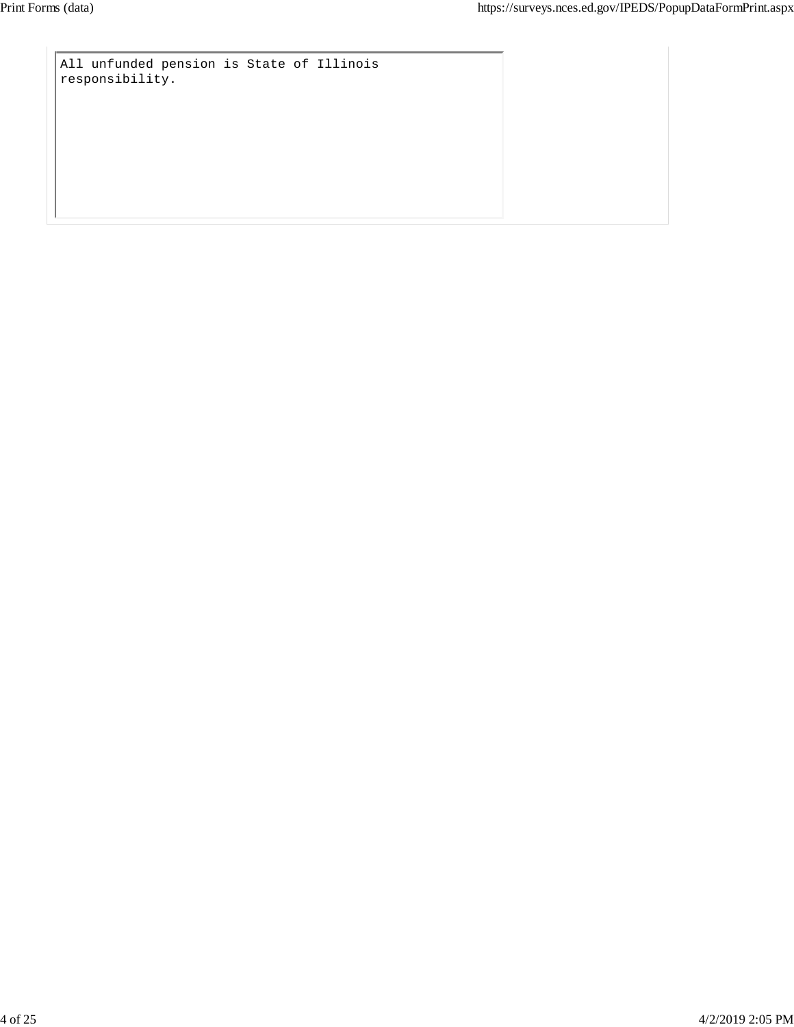All unfunded pension is State of Illinois responsibility.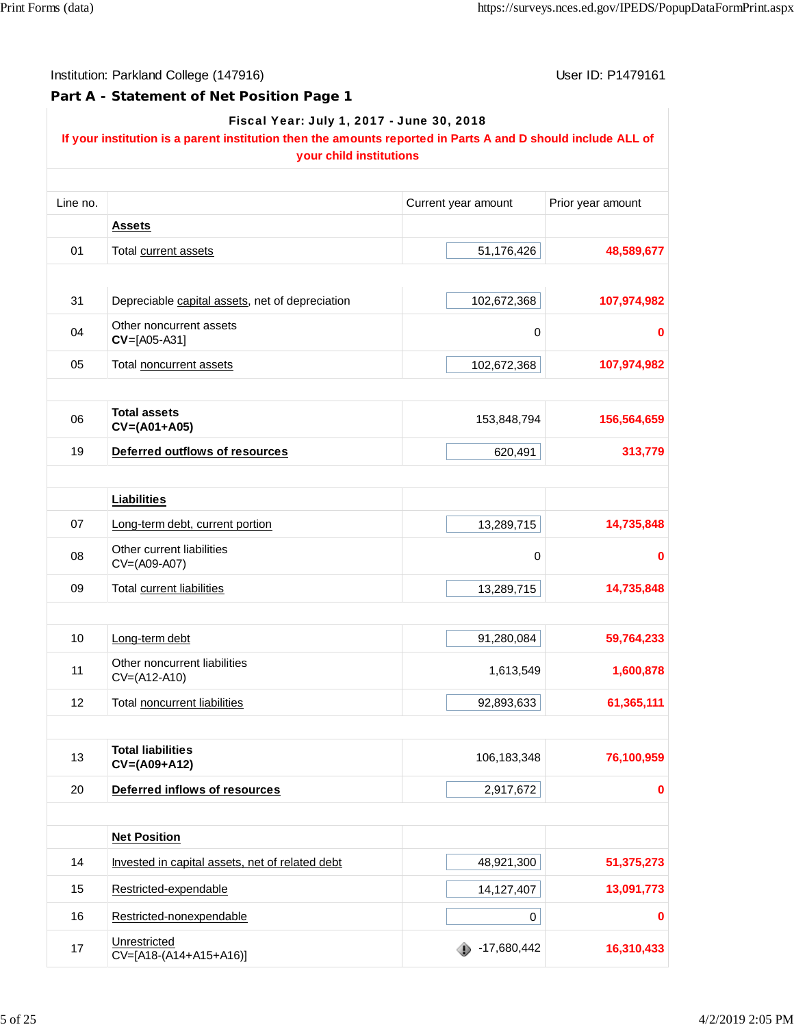**Part A - Statement of Net Position Page 1**

|          | Fiscal Year: July 1, 2017 - June 30, 2018<br>If your institution is a parent institution then the amounts reported in Parts A and D should include ALL of<br>your child institutions |                     |                   |
|----------|--------------------------------------------------------------------------------------------------------------------------------------------------------------------------------------|---------------------|-------------------|
| Line no. |                                                                                                                                                                                      | Current year amount | Prior year amount |
|          | <b>Assets</b>                                                                                                                                                                        |                     |                   |
| 01       | Total current assets                                                                                                                                                                 | 51,176,426          | 48,589,677        |
| 31       | Depreciable capital assets, net of depreciation                                                                                                                                      | 102,672,368         | 107,974,982       |
| 04       | Other noncurrent assets<br>$CV=[A05-A31]$                                                                                                                                            | 0                   | 0                 |
| 05       | Total noncurrent assets                                                                                                                                                              | 102,672,368         | 107,974,982       |
| 06       | <b>Total assets</b><br>$CV=(A01+A05)$                                                                                                                                                | 153,848,794         | 156,564,659       |
| 19       | Deferred outflows of resources                                                                                                                                                       | 620,491             | 313,779           |
|          | <b>Liabilities</b>                                                                                                                                                                   |                     |                   |
| 07       | Long-term debt, current portion                                                                                                                                                      | 13,289,715          | 14,735,848        |
| 08       | Other current liabilities<br>CV=(A09-A07)                                                                                                                                            | $\mathbf 0$         | 0                 |
| 09       | Total current liabilities                                                                                                                                                            | 13,289,715          | 14,735,848        |
| 10       | Long-term debt                                                                                                                                                                       | 91,280,084          | 59,764,233        |
| 11       | Other noncurrent liabilities<br>CV=(A12-A10)                                                                                                                                         | 1,613,549           | 1,600,878         |
| 12       | Total noncurrent liabilities                                                                                                                                                         | 92,893,633          | 61,365,111        |
| 13       | <b>Total liabilities</b><br>$CV=(A09+A12)$                                                                                                                                           | 106,183,348         | 76,100,959        |
| 20       | Deferred inflows of resources                                                                                                                                                        | 2,917,672           |                   |
|          |                                                                                                                                                                                      |                     |                   |
|          | <b>Net Position</b>                                                                                                                                                                  |                     |                   |
| 14       | Invested in capital assets, net of related debt                                                                                                                                      | 48,921,300          | 51,375,273        |
| 15       | Restricted-expendable                                                                                                                                                                | 14,127,407          | 13,091,773        |
| 16       | Restricted-nonexpendable                                                                                                                                                             | 0                   |                   |
| 17       | Unrestricted<br>CV=[A18-(A14+A15+A16)]                                                                                                                                               | $-17,680,442$       | 16,310,433        |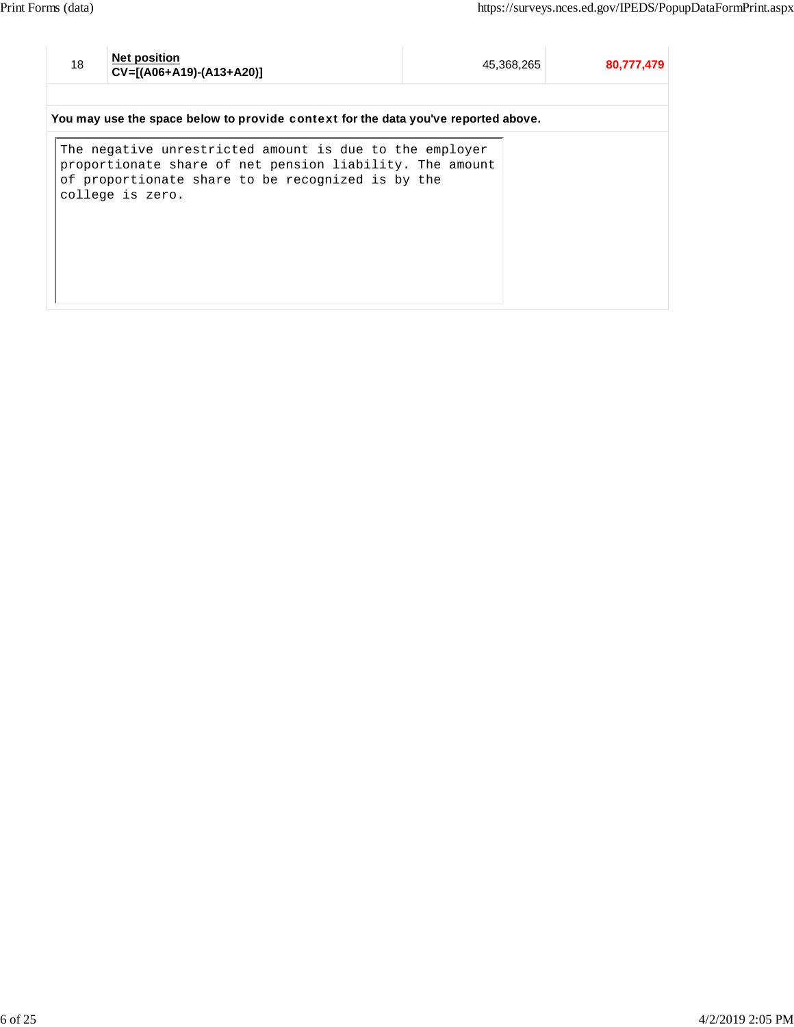<sup>18</sup> **Net position**

**CV=[(A06+A19)-(A13+A20)]** 45,368,265 **80,777,479**

**You may use the space below to** provide context **for the data you've reported above.**

The negative unrestricted amount is due to the employer proportionate share of net pension liability. The amount of proportionate share to be recognized is by the college is zero.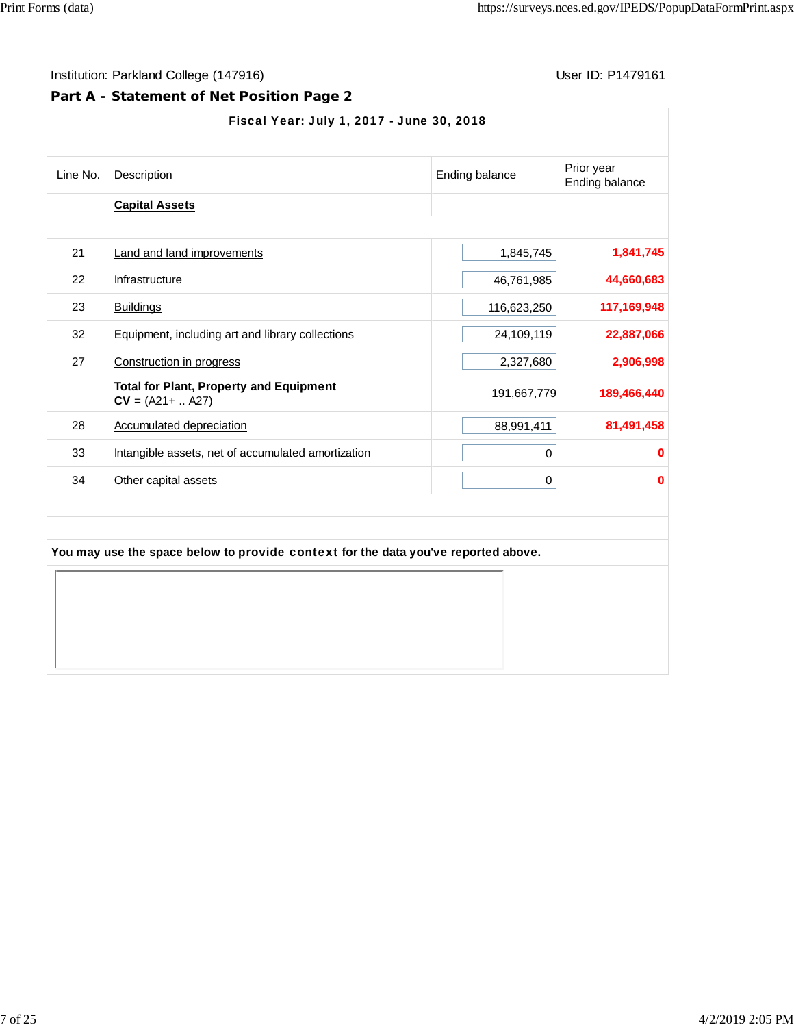## **Part A - Statement of Net Position Page 2**

### Fiscal Year: July 1, 2017 - June 30, 2018

| <b>Capital Assets</b><br>21<br>Land and land improvements<br>22<br>Infrastructure<br>23<br><b>Buildings</b><br>32<br>Equipment, including art and library collections | 1,845,745<br>1,841,745<br>44,660,683<br>46,761,985 |
|-----------------------------------------------------------------------------------------------------------------------------------------------------------------------|----------------------------------------------------|
|                                                                                                                                                                       |                                                    |
|                                                                                                                                                                       |                                                    |
|                                                                                                                                                                       |                                                    |
|                                                                                                                                                                       | 117,169,948<br>116,623,250                         |
|                                                                                                                                                                       | 22,887,066<br>24,109,119                           |
| 27<br>Construction in progress                                                                                                                                        | 2,906,998<br>2,327,680                             |
| <b>Total for Plant, Property and Equipment</b><br>$CV = (A21 +  A27)$                                                                                                 | 191,667,779<br>189,466,440                         |
| 28<br><b>Accumulated depreciation</b>                                                                                                                                 | 88,991,411<br>81,491,458                           |
| 33<br>Intangible assets, net of accumulated amortization                                                                                                              | 0<br>0                                             |
| Other capital assets<br>34                                                                                                                                            | $\bf{0}$<br>0                                      |
| You may use the space below to provide context for the data you've reported above.                                                                                    |                                                    |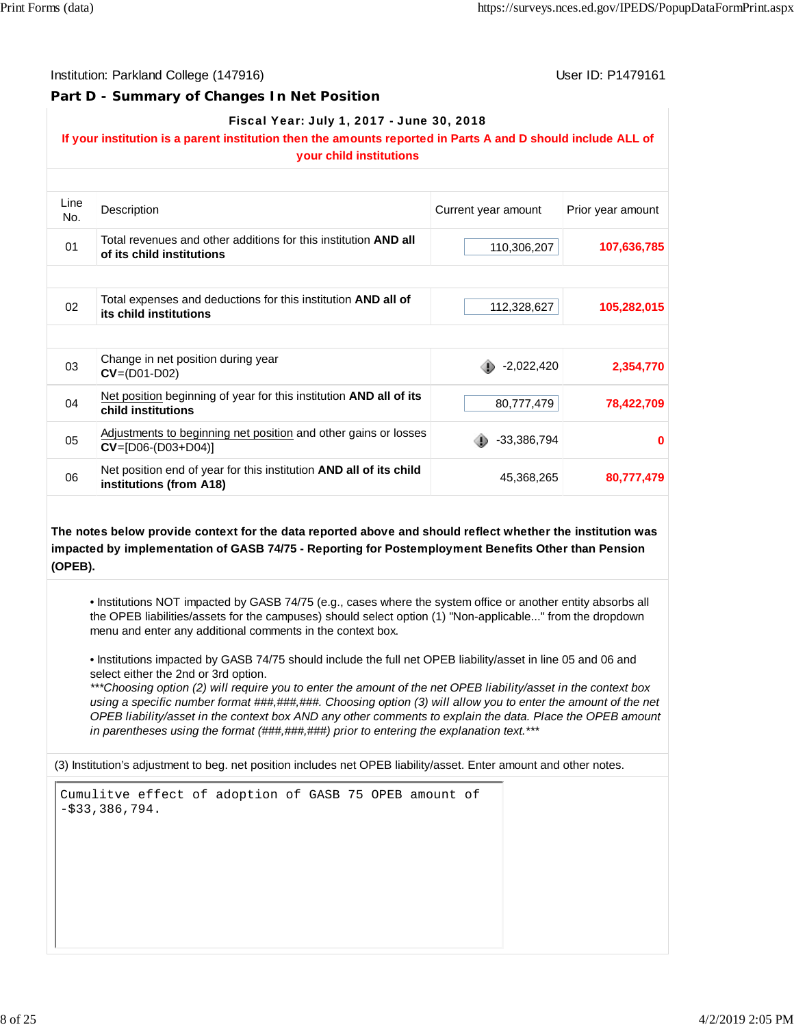Institution: Parkland College (147916) November 2012 12: P1479161

#### **Part D - Summary of Changes In Net Position**

#### Fiscal Year: July 1, 2017 - June 30, 2018

## **If your institution is a parent institution then the amounts reported in Parts A and D should include ALL of**

|             | your child institutions                                                                       |                     |                   |
|-------------|-----------------------------------------------------------------------------------------------|---------------------|-------------------|
|             |                                                                                               |                     |                   |
| Line<br>No. | Description                                                                                   | Current year amount | Prior year amount |
| 01          | Total revenues and other additions for this institution AND all<br>of its child institutions  | 110,306,207         | 107,636,785       |
|             |                                                                                               |                     |                   |
| 02          | Total expenses and deductions for this institution AND all of<br>its child institutions       | 112,328,627         | 105,282,015       |
|             |                                                                                               |                     |                   |
| 03          | Change in net position during year<br>$CV = (D01-D02)$                                        | $-2,022,420$        | 2,354,770         |
| 04          | Net position beginning of year for this institution AND all of its<br>child institutions      | 80,777,479          | 78,422,709        |
| 05          | Adjustments to beginning net position and other gains or losses<br>$CV = [D06-(D03+D04)]$     | -33,386,794         | 0                 |
| 06          | Net position end of year for this institution AND all of its child<br>institutions (from A18) | 45,368,265          | 80,777,479        |
|             |                                                                                               |                     |                   |

**The notes below provide context for the data reported above and should reflect whether the institution was impacted by implementation of GASB 74/75 - Reporting for Postemployment Benefits Other than Pension (OPEB).**

• Institutions NOT impacted by GASB 74/75 (e.g., cases where the system office or another entity absorbs all the OPEB liabilities/assets for the campuses) should select option (1) "Non-applicable..." from the dropdown menu and enter any additional comments in the context box.

• Institutions impacted by GASB 74/75 should include the full net OPEB liability/asset in line 05 and 06 and select either the 2nd or 3rd option.

*\*\*\*Choosing option (2) will require you to enter the amount of the net OPEB liability/asset in the context box using a specific number format ###,###,###. Choosing option (3) will allow you to enter the amount of the net OPEB liability/asset in the context box AND any other comments to explain the data. Place the OPEB amount in parentheses using the format (###,###,###) prior to entering the explanation text.\*\*\**

(3) Institution's adjustment to beg. net position includes net OPEB liability/asset. Enter amount and other notes.

| Cumulitve effect of adoption of GASB 75 OPEB amount of |  |
|--------------------------------------------------------|--|
| $-$ \$33,386,794.                                      |  |
|                                                        |  |
|                                                        |  |
|                                                        |  |
|                                                        |  |
|                                                        |  |
|                                                        |  |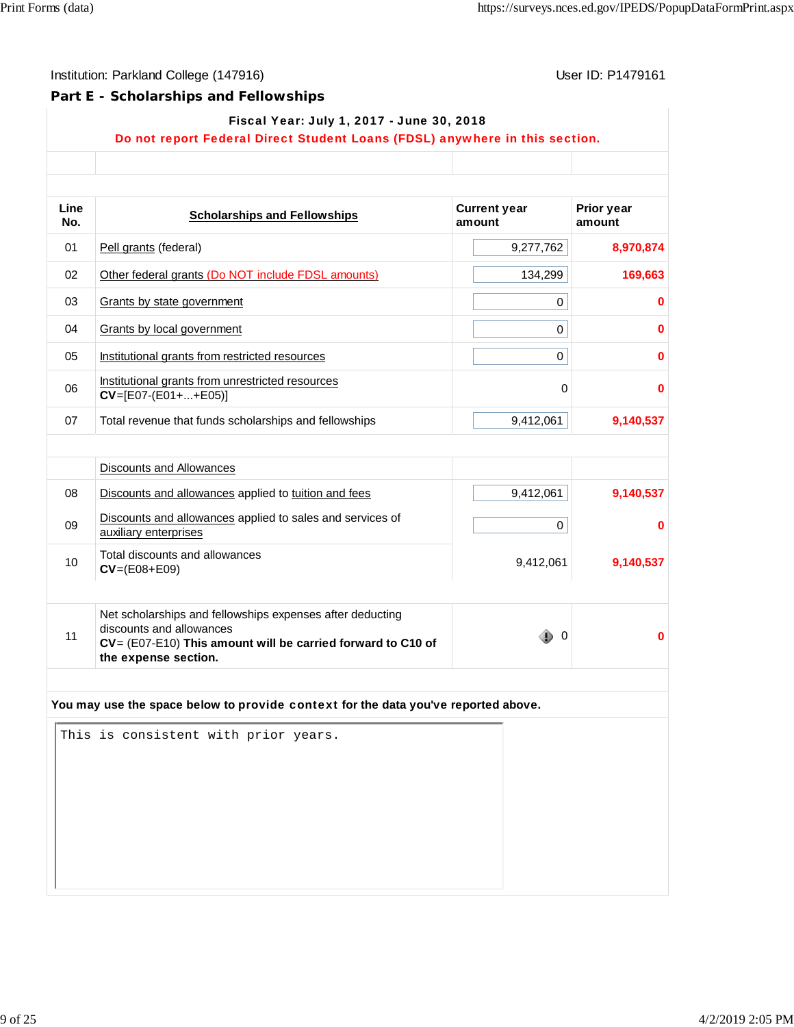# **Part E - Scholarships and Fellowships**

|             | Do not report Federal Direct Student Loans (FDSL) anywhere in this section.                                                                                                     |                               |                             |
|-------------|---------------------------------------------------------------------------------------------------------------------------------------------------------------------------------|-------------------------------|-----------------------------|
| Line<br>No. | <b>Scholarships and Fellowships</b>                                                                                                                                             | <b>Current year</b><br>amount | <b>Prior year</b><br>amount |
| 01          | Pell grants (federal)                                                                                                                                                           | 9,277,762                     | 8,970,874                   |
| 02          | Other federal grants (Do NOT include FDSL amounts)                                                                                                                              | 134,299                       | 169,663                     |
| 03          | Grants by state government                                                                                                                                                      | 0                             | $\bf{0}$                    |
| 04          | <b>Grants by local government</b>                                                                                                                                               | 0                             | $\bf{0}$                    |
| 05          | Institutional grants from restricted resources                                                                                                                                  | 0                             | $\bf{0}$                    |
| 06          | Institutional grants from unrestricted resources<br>$CV=[E07-(E01++E05)]$                                                                                                       | 0                             | $\bf{0}$                    |
| 07          | Total revenue that funds scholarships and fellowships                                                                                                                           | 9,412,061                     | 9,140,537                   |
|             | <b>Discounts and Allowances</b>                                                                                                                                                 |                               |                             |
| 08          | Discounts and allowances applied to tuition and fees                                                                                                                            | 9,412,061                     | 9,140,537                   |
| 09          | Discounts and allowances applied to sales and services of<br>auxiliary enterprises                                                                                              | 0                             | $\bf{0}$                    |
| 10          | Total discounts and allowances<br>$CV = (E08 + E09)$                                                                                                                            | 9,412,061                     | 9,140,537                   |
| 11          | Net scholarships and fellowships expenses after deducting<br>discounts and allowances<br>$CV = (E07-E10)$ This amount will be carried forward to C10 of<br>the expense section. | - 0                           | 0                           |
|             | You may use the space below to provide context for the data you've reported above.<br>This is consistent with prior years.                                                      |                               |                             |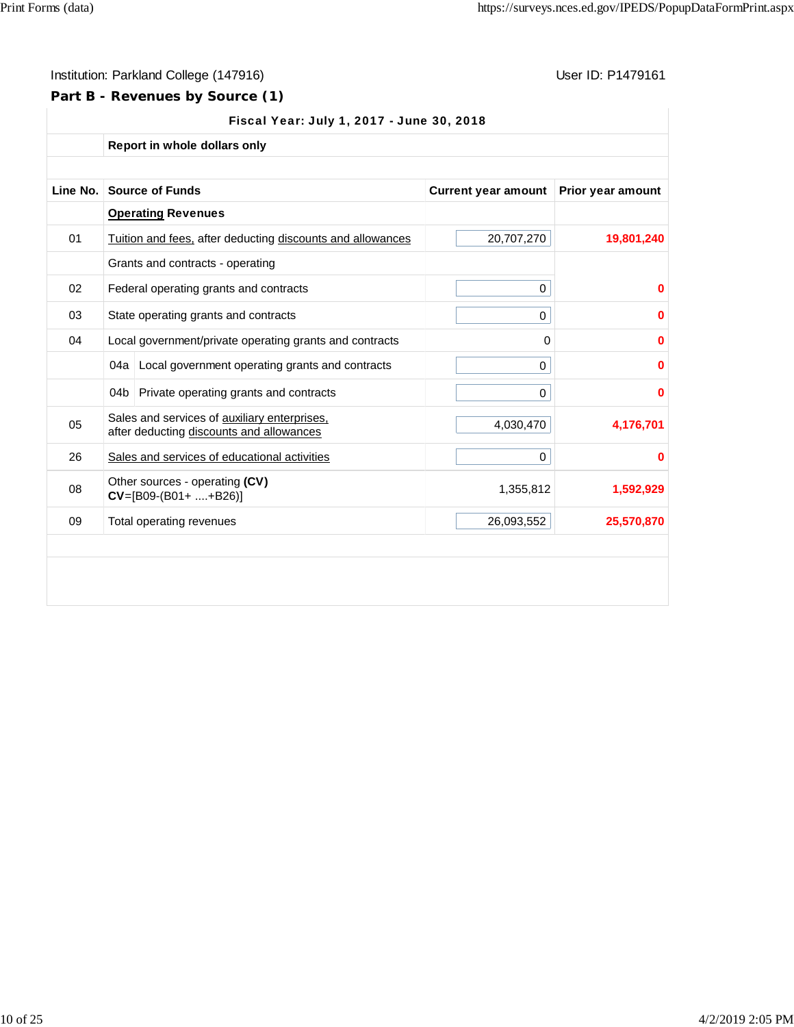## **Part B - Revenues by Source (1)**

|          |     | Report in whole dollars only                                                             |                            |                   |
|----------|-----|------------------------------------------------------------------------------------------|----------------------------|-------------------|
| Line No. |     | <b>Source of Funds</b>                                                                   | <b>Current year amount</b> | Prior year amount |
|          |     | <b>Operating Revenues</b>                                                                |                            |                   |
| 01       |     | Tuition and fees, after deducting discounts and allowances                               | 20,707,270                 | 19,801,240        |
|          |     | Grants and contracts - operating                                                         |                            |                   |
| 02       |     | Federal operating grants and contracts                                                   | 0                          | 0                 |
| 03       |     | State operating grants and contracts                                                     | 0                          | 0                 |
| 04       |     | Local government/private operating grants and contracts                                  | 0                          | 0                 |
|          |     | 04a Local government operating grants and contracts                                      | 0                          | 0                 |
|          | 04b | Private operating grants and contracts                                                   | 0                          | 0                 |
| 05       |     | Sales and services of auxiliary enterprises,<br>after deducting discounts and allowances | 4,030,470                  | 4,176,701         |
| 26       |     | Sales and services of educational activities                                             | 0                          | 0                 |
| 08       |     | Other sources - operating (CV)<br>$CV=[B09-(B01++B26)]$                                  | 1,355,812                  | 1,592,929         |
| 09       |     | Total operating revenues                                                                 | 26,093,552                 | 25,570,870        |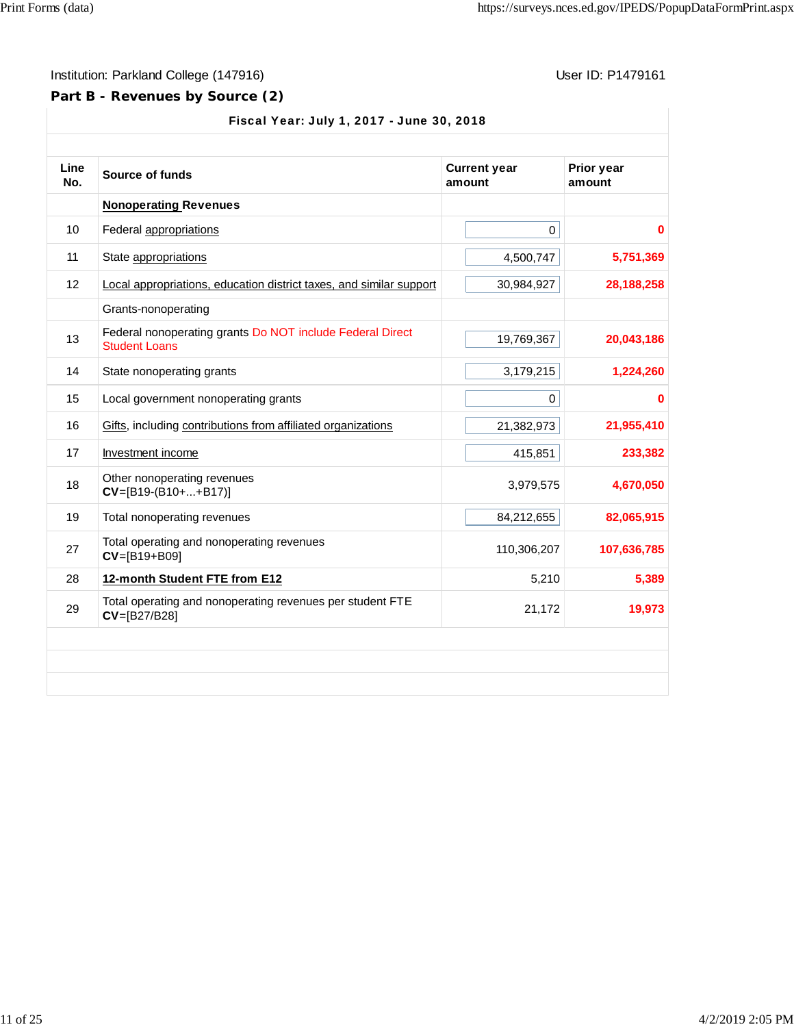# **Part B - Revenues by Source (2)**

| Line<br>No. | Source of funds                                                                   | Prior year<br>amount |              |
|-------------|-----------------------------------------------------------------------------------|----------------------|--------------|
|             | <b>Nonoperating Revenues</b>                                                      |                      |              |
| 10          | Federal appropriations                                                            | $\mathbf 0$          | 0            |
| 11          | State appropriations                                                              | 4,500,747            | 5,751,369    |
| 12          | Local appropriations, education district taxes, and similar support               | 30,984,927           | 28, 188, 258 |
|             | Grants-nonoperating                                                               |                      |              |
| 13          | Federal nonoperating grants Do NOT include Federal Direct<br><b>Student Loans</b> | 19,769,367           | 20,043,186   |
| 14          | State nonoperating grants                                                         | 3,179,215            | 1,224,260    |
| 15          | Local government nonoperating grants                                              | $\mathbf 0$          | 0            |
| 16          | Gifts, including contributions from affiliated organizations                      | 21,382,973           | 21,955,410   |
| 17          | Investment income                                                                 | 415,851              | 233,382      |
| 18          | Other nonoperating revenues<br>$CV=[B19-(B10++B17)]$                              | 3,979,575            | 4,670,050    |
| 19          | Total nonoperating revenues                                                       | 84,212,655           | 82,065,915   |
| 27          | Total operating and nonoperating revenues<br>CV=[B19+B09]                         | 110,306,207          | 107,636,785  |
| 28          | 12-month Student FTE from E12                                                     | 5,210                | 5,389        |
| 29          | Total operating and nonoperating revenues per student FTE<br>CV=[B27/B28]         | 21,172               | 19,973       |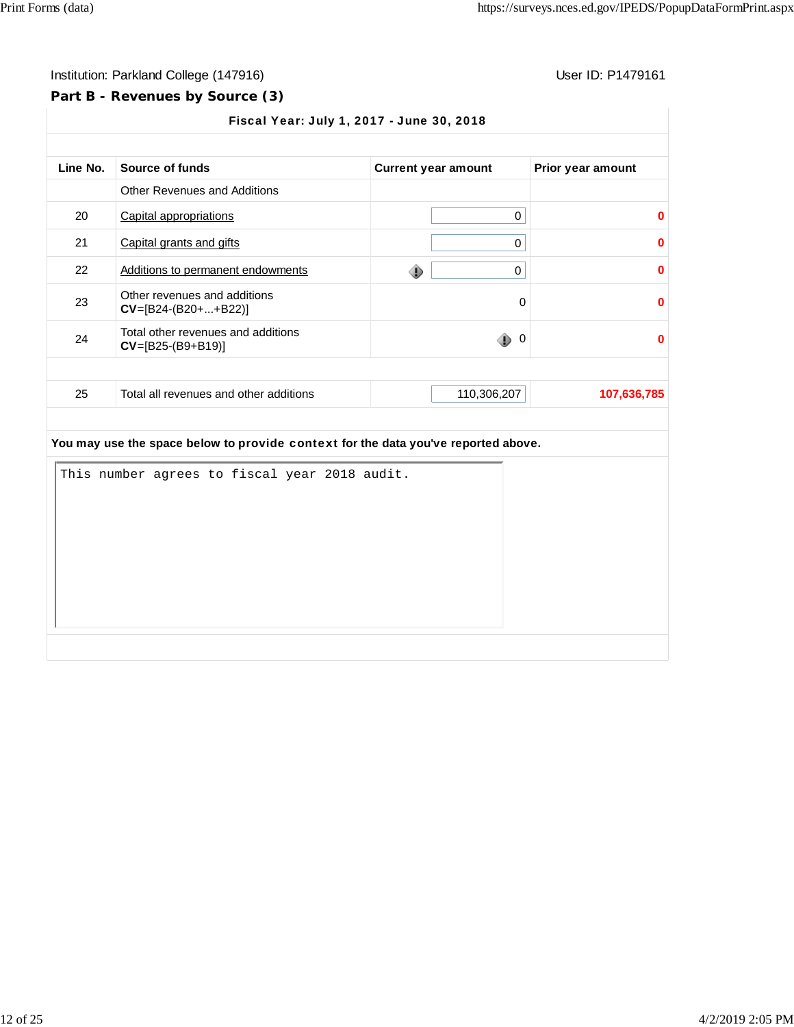## **Part B - Revenues by Source (3)**

| Line No. | Source of funds                                           | <b>Current year amount</b> | Prior year amount |
|----------|-----------------------------------------------------------|----------------------------|-------------------|
|          | <b>Other Revenues and Additions</b>                       |                            |                   |
| 20       | Capital appropriations                                    | 0                          |                   |
| 21       | Capital grants and gifts                                  | 0                          |                   |
| 22       | Additions to permanent endowments                         | 0<br>⊕                     |                   |
| 23       | Other revenues and additions<br>$CV=[B24-(B20++B22)]$     | $\Omega$                   |                   |
| 24       | Total other revenues and additions<br>$CV=[B25-(B9+B19)]$ | ۰<br>$\mathbf 0$           |                   |
| 25       | Total all revenues and other additions                    | 110,306,207                | 107,636,785       |

|  | This number agrees to fiscal year 2018 audit. |  |  |  |  |
|--|-----------------------------------------------|--|--|--|--|
|  |                                               |  |  |  |  |
|  |                                               |  |  |  |  |
|  |                                               |  |  |  |  |
|  |                                               |  |  |  |  |
|  |                                               |  |  |  |  |
|  |                                               |  |  |  |  |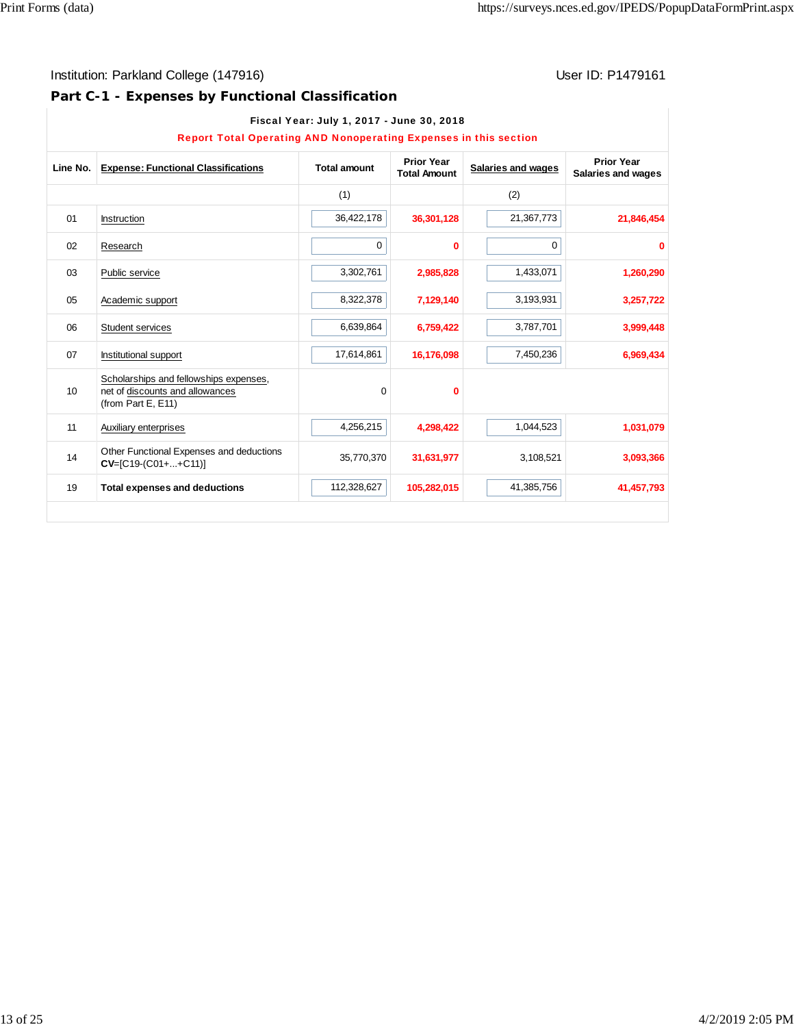# **Part C-1 - Expenses by Functional Classification**

|                  | <b>Report Total Operating AND Nonoperating Expenses in this section</b>                            |                     |                                          |                    |                                         |
|------------------|----------------------------------------------------------------------------------------------------|---------------------|------------------------------------------|--------------------|-----------------------------------------|
| Line No.         | <b>Expense: Functional Classifications</b>                                                         | <b>Total amount</b> | <b>Prior Year</b><br><b>Total Amount</b> | Salaries and wages | <b>Prior Year</b><br>Salaries and wages |
|                  |                                                                                                    | (1)                 |                                          | (2)                |                                         |
| 01               | Instruction                                                                                        | 36,422,178          | 36,301,128                               | 21,367,773         | 21,846,454                              |
| 02               | Research                                                                                           | 0                   | 0                                        | 0                  | $\Omega$                                |
| 03               | Public service                                                                                     | 3,302,761           | 2,985,828                                | 1,433,071          | 1,260,290                               |
| 05               | Academic support                                                                                   | 8,322,378           | 7,129,140                                | 3,193,931          | 3,257,722                               |
| 06               | Student services                                                                                   | 6,639,864           | 6,759,422                                | 3,787,701          | 3,999,448                               |
| 07               | Institutional support                                                                              | 17,614,861          | 16,176,098                               | 7,450,236          | 6,969,434                               |
| 10 <sup>10</sup> | Scholarships and fellowships expenses,<br>net of discounts and allowances<br>(from Part E, $E$ 11) | 0                   | 0                                        |                    |                                         |
| 11               | Auxiliary enterprises                                                                              | 4,256,215           | 4,298,422                                | 1,044,523          | 1,031,079                               |
| 14               | Other Functional Expenses and deductions<br>CV=[C19-(C01++C11)]                                    | 35,770,370          | 31,631,977                               | 3,108,521          | 3,093,366                               |
| 19               | <b>Total expenses and deductions</b>                                                               | 112,328,627         | 105,282,015                              | 41,385,756         | 41,457,793                              |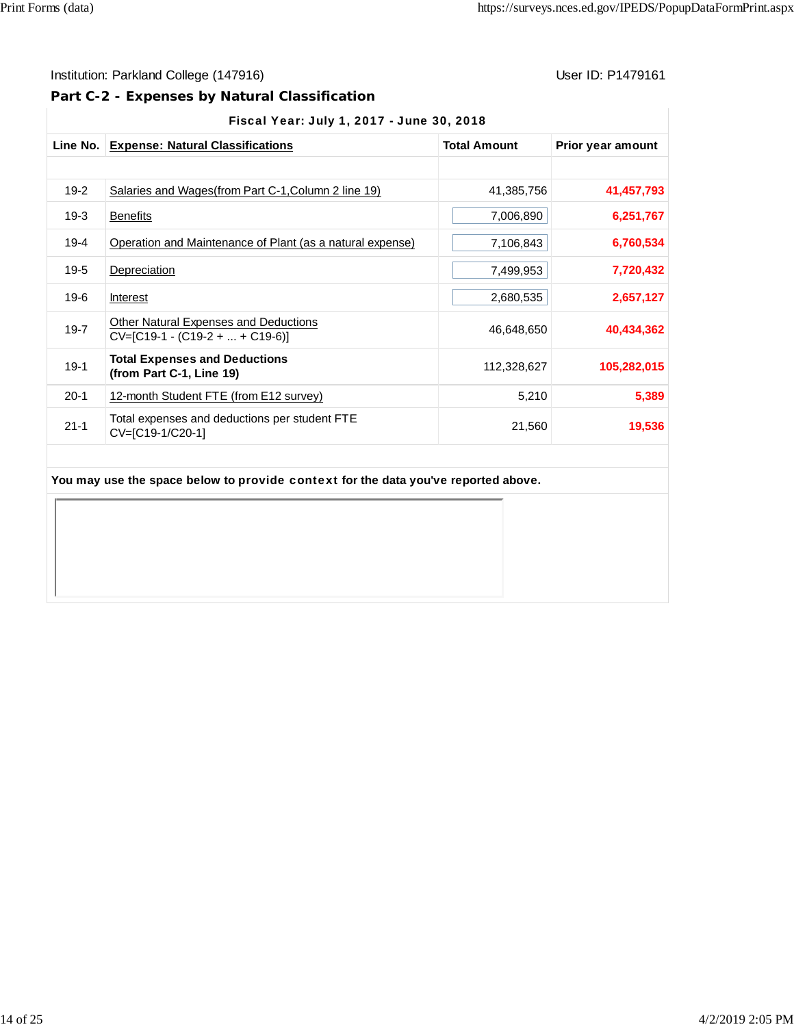## Institution: Parkland College (147916) **User ID: P1479161** User ID: P1479161

## **Part C-2 - Expenses by Natural Classification**

|  |  | Fiscal Year: July 1, 2017 - June 30, 2018 |  |
|--|--|-------------------------------------------|--|
|  |  |                                           |  |

| Line No. | <b>Expense: Natural Classifications</b>                                           | <b>Total Amount</b> | Prior year amount |
|----------|-----------------------------------------------------------------------------------|---------------------|-------------------|
|          |                                                                                   |                     |                   |
| $19-2$   | Salaries and Wages(from Part C-1, Column 2 line 19)                               | 41,385,756          | 41,457,793        |
| $19-3$   | <b>Benefits</b>                                                                   | 7,006,890           | 6,251,767         |
| $19 - 4$ | Operation and Maintenance of Plant (as a natural expense)                         | 7,106,843           | 6,760,534         |
| $19 - 5$ | Depreciation                                                                      | 7,499,953           | 7,720,432         |
| $19-6$   | <b>Interest</b>                                                                   | 2,680,535           | 2,657,127         |
| $19 - 7$ | <b>Other Natural Expenses and Deductions</b><br>$CV=[C19-1 - (C19-2 +  + C19-6)]$ | 46,648,650          | 40,434,362        |
| $19-1$   | <b>Total Expenses and Deductions</b><br>(from Part C-1, Line 19)                  | 112,328,627         | 105,282,015       |
| $20-1$   | 12-month Student FTE (from E12 survey)                                            | 5,210               | 5,389             |
| $21 - 1$ | Total expenses and deductions per student FTE<br>CV=[C19-1/C20-1]                 | 21,560              | 19,536            |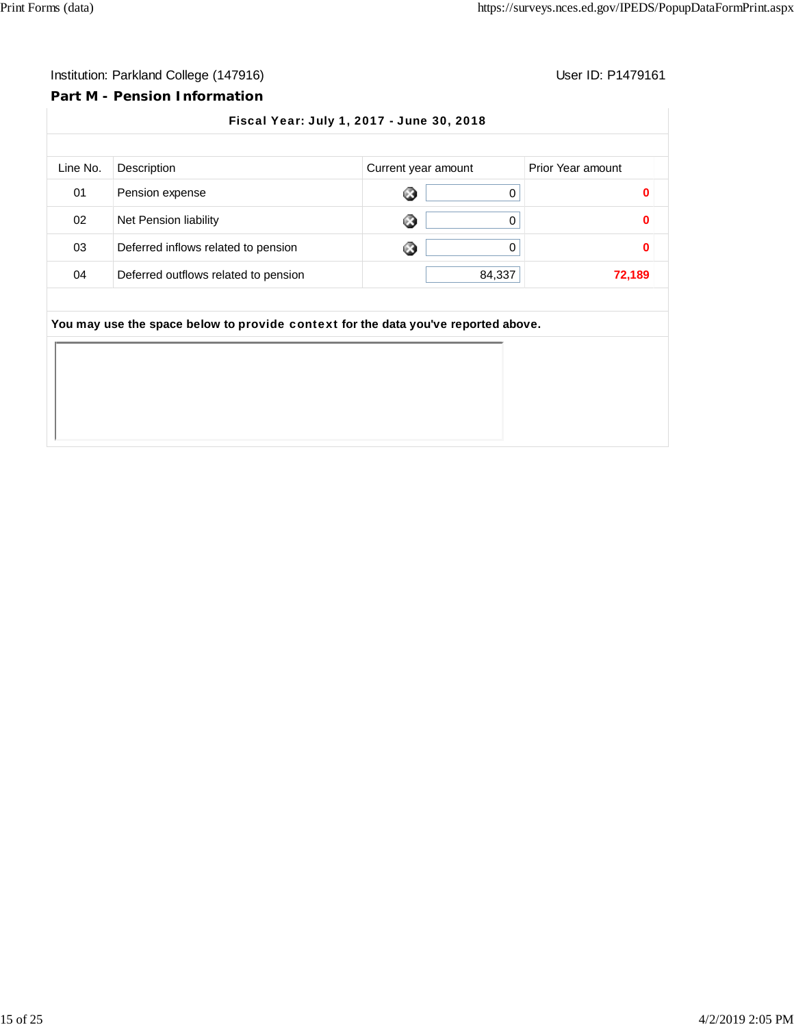#### **Part M - Pension Information**

Fiscal Year: July 1, 2017 - June 30, 2018 Line No. Description **Current year amount** Prior Year amount 01 Pension expense 0 **0** 02 Net Pension liability 0 **0** 03 Deferred inflows related to pension 0 **0** 04 Deferred outflows related to pension **84,337** 84,337 **You may use the space below to** provide context **for the data you've reported above.**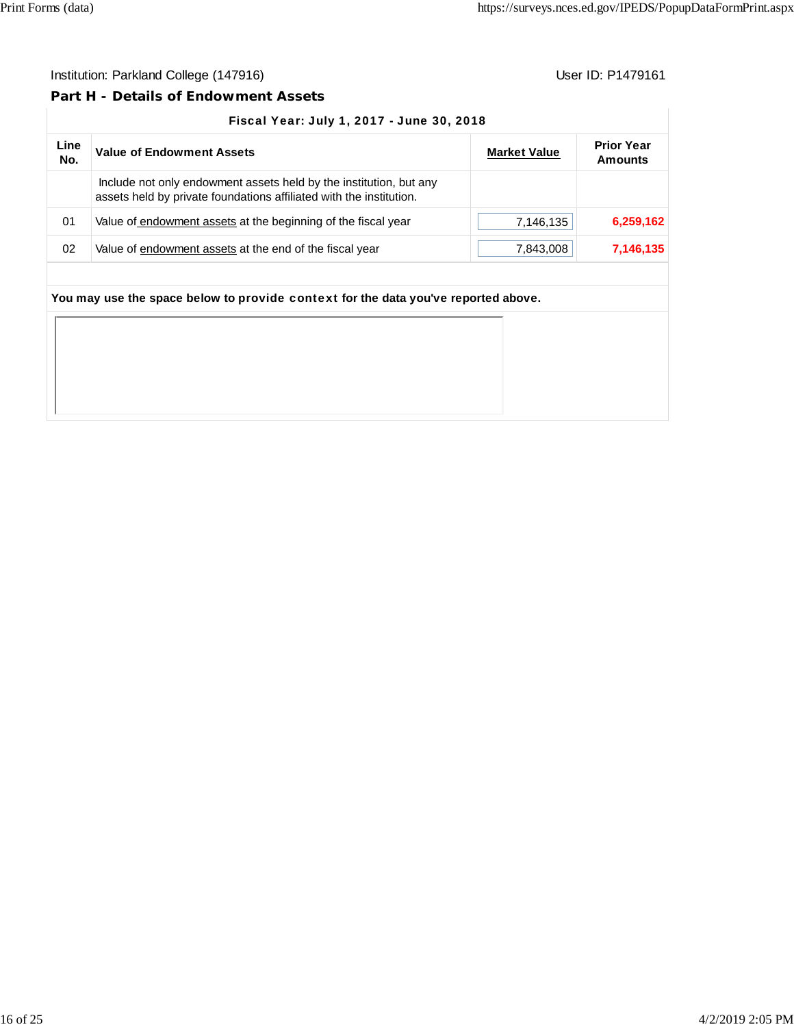### **Part H - Details of Endowment Assets**

#### Fiscal Year: July 1, 2017 - June 30, 2018

| Line<br>No. | <b>Value of Endowment Assets</b>                                                                                                          | <b>Market Value</b> | <b>Prior Year</b><br>Amounts |
|-------------|-------------------------------------------------------------------------------------------------------------------------------------------|---------------------|------------------------------|
|             | Include not only endowment assets held by the institution, but any<br>assets held by private foundations affiliated with the institution. |                     |                              |
| 01          | Value of endowment assets at the beginning of the fiscal year                                                                             | 7,146,135           | 6,259,162                    |
| 02          | Value of endowment assets at the end of the fiscal year                                                                                   | 7,843,008           | 7,146,135                    |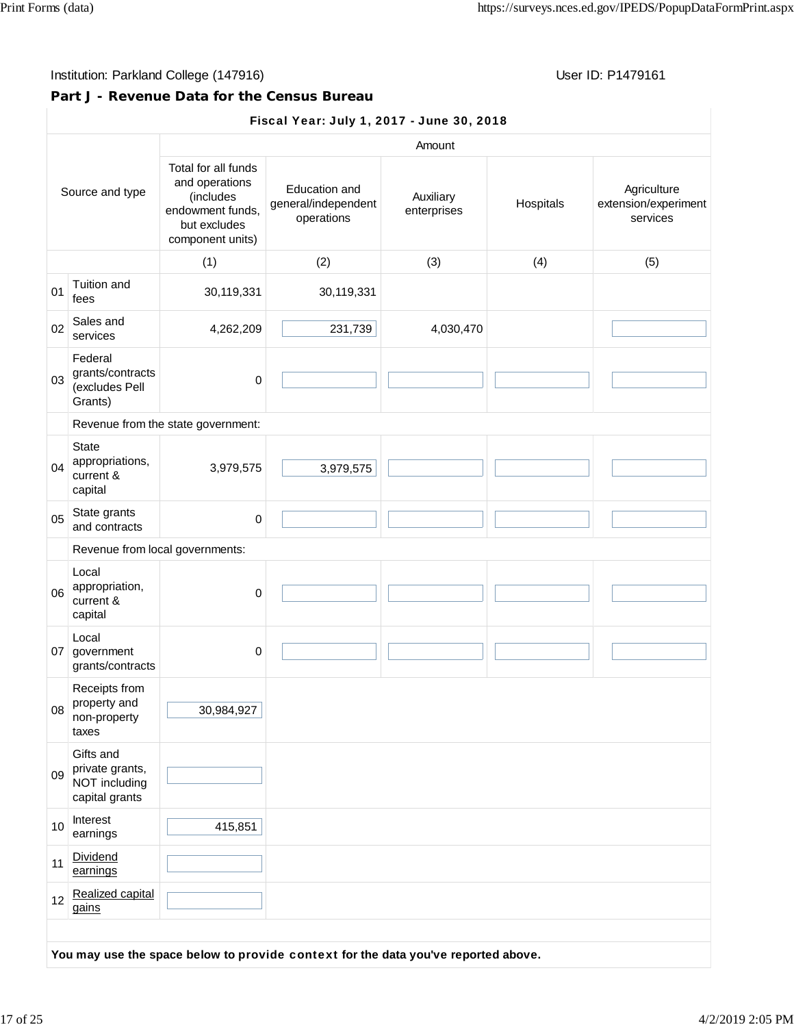## **Part J - Revenue Data for the Census Bureau**

## Fiscal Year: July 1, 2017 - June 30, 2018

|    |                                                                 | Amount                                                                                                     |                                                    |                          |           |                                                 |  |  |
|----|-----------------------------------------------------------------|------------------------------------------------------------------------------------------------------------|----------------------------------------------------|--------------------------|-----------|-------------------------------------------------|--|--|
|    | Source and type                                                 | Total for all funds<br>and operations<br>(includes<br>endowment funds,<br>but excludes<br>component units) | Education and<br>general/independent<br>operations | Auxiliary<br>enterprises | Hospitals | Agriculture<br>extension/experiment<br>services |  |  |
|    |                                                                 | (1)                                                                                                        | (2)                                                | (3)                      | (4)       | (5)                                             |  |  |
| 01 | Tuition and<br>fees                                             | 30,119,331                                                                                                 | 30,119,331                                         |                          |           |                                                 |  |  |
| 02 | Sales and<br>services                                           | 4,262,209                                                                                                  | 231,739                                            | 4,030,470                |           |                                                 |  |  |
| 03 | Federal<br>grants/contracts<br>(excludes Pell<br>Grants)        | $\pmb{0}$                                                                                                  |                                                    |                          |           |                                                 |  |  |
|    |                                                                 | Revenue from the state government:                                                                         |                                                    |                          |           |                                                 |  |  |
| 04 | <b>State</b><br>appropriations,<br>current &<br>capital         | 3,979,575                                                                                                  | 3,979,575                                          |                          |           |                                                 |  |  |
| 05 | State grants<br>and contracts                                   | 0                                                                                                          |                                                    |                          |           |                                                 |  |  |
|    | Revenue from local governments:                                 |                                                                                                            |                                                    |                          |           |                                                 |  |  |
| 06 | Local<br>appropriation,<br>current &<br>capital                 | $\mathbf 0$                                                                                                |                                                    |                          |           |                                                 |  |  |
|    | Local<br>07 government<br>grants/contracts                      | 0                                                                                                          |                                                    |                          |           |                                                 |  |  |
| 08 | Receipts from<br>property and<br>non-property<br>taxes          | 30,984,927                                                                                                 |                                                    |                          |           |                                                 |  |  |
| 09 | Gifts and<br>private grants,<br>NOT including<br>capital grants |                                                                                                            |                                                    |                          |           |                                                 |  |  |
| 10 | Interest<br>earnings                                            | 415,851                                                                                                    |                                                    |                          |           |                                                 |  |  |
| 11 | Dividend<br>earnings                                            |                                                                                                            |                                                    |                          |           |                                                 |  |  |
| 12 | Realized capital<br>gains                                       |                                                                                                            |                                                    |                          |           |                                                 |  |  |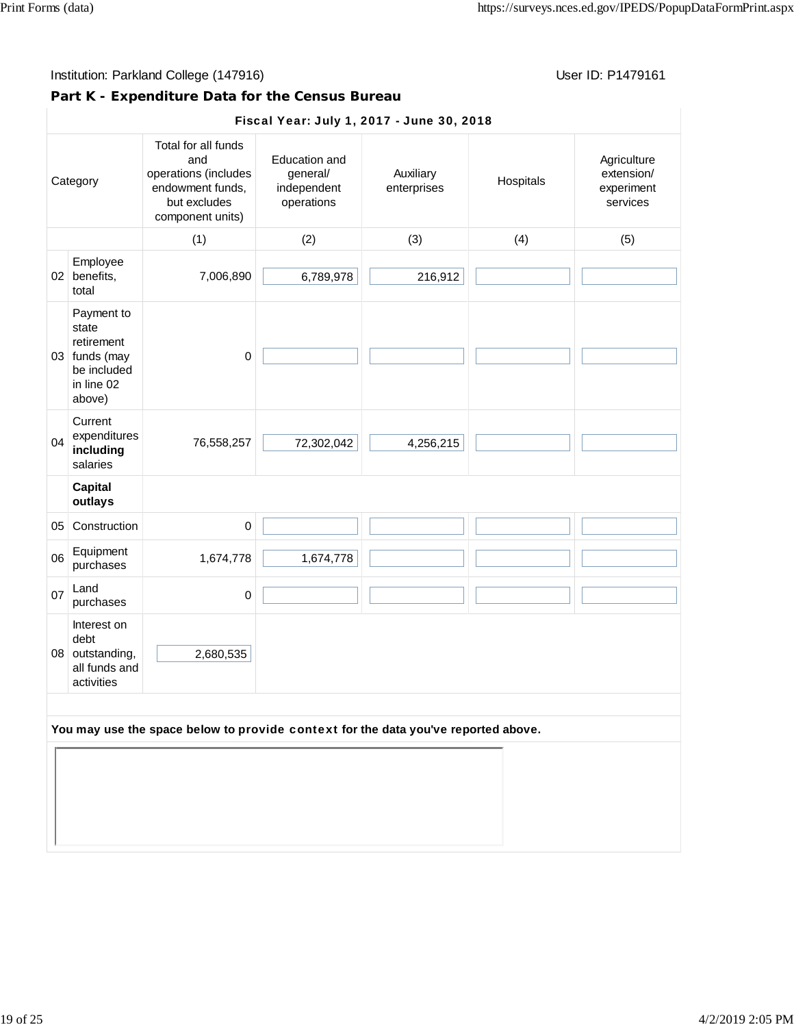# **Part K - Expenditure Data for the Census Bureau**

|    | Fiscal Year: July 1, 2017 - June 30, 2018                                                 |                                                                                                            |                                                               |                          |           |                                                     |  |
|----|-------------------------------------------------------------------------------------------|------------------------------------------------------------------------------------------------------------|---------------------------------------------------------------|--------------------------|-----------|-----------------------------------------------------|--|
|    | Category                                                                                  | Total for all funds<br>and<br>operations (includes<br>endowment funds,<br>but excludes<br>component units) | <b>Education and</b><br>general/<br>independent<br>operations | Auxiliary<br>enterprises | Hospitals | Agriculture<br>extension/<br>experiment<br>services |  |
|    |                                                                                           | (1)                                                                                                        | (2)                                                           | (3)                      | (4)       | (5)                                                 |  |
|    | Employee<br>02 benefits,<br>total                                                         | 7,006,890                                                                                                  | 6,789,978                                                     | 216,912                  |           |                                                     |  |
|    | Payment to<br>state<br>retirement<br>03 funds (may<br>be included<br>in line 02<br>above) | $\mathbf 0$                                                                                                |                                                               |                          |           |                                                     |  |
| 04 | Current<br>expenditures<br>including<br>salaries                                          | 76,558,257                                                                                                 | 72,302,042                                                    | 4,256,215                |           |                                                     |  |
|    | <b>Capital</b><br>outlays                                                                 |                                                                                                            |                                                               |                          |           |                                                     |  |
| 05 | Construction                                                                              | $\mathbf 0$                                                                                                |                                                               |                          |           |                                                     |  |
| 06 | Equipment<br>purchases                                                                    | 1,674,778                                                                                                  | 1,674,778                                                     |                          |           |                                                     |  |
| 07 | Land<br>purchases                                                                         | 0                                                                                                          |                                                               |                          |           |                                                     |  |
|    | Interest on<br>debt<br>08 outstanding,<br>all funds and<br>activities                     | 2,680,535                                                                                                  |                                                               |                          |           |                                                     |  |
|    |                                                                                           | You may use the space below to provide context for the data you've reported above.                         |                                                               |                          |           |                                                     |  |
|    |                                                                                           |                                                                                                            |                                                               |                          |           |                                                     |  |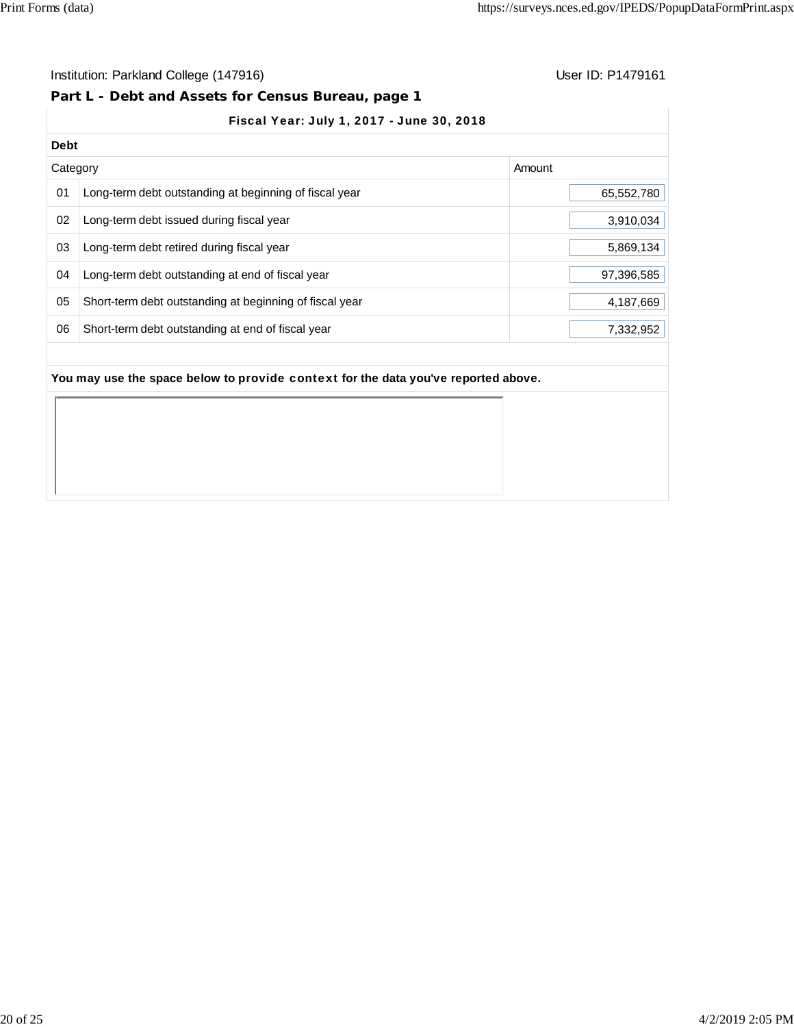#### Institution: Parkland College (147916) **Institution: Parkland College (147916**)

#### **Part L - Debt and Assets for Census Bureau, page 1**

## Fiscal Year: July 1, 2017 - June 30, 2018

| <b>Debt</b> |                                                         |            |
|-------------|---------------------------------------------------------|------------|
| Category    |                                                         | Amount     |
| 01          | Long-term debt outstanding at beginning of fiscal year  | 65,552,780 |
| 02          | Long-term debt issued during fiscal year                | 3,910,034  |
| 03          | Long-term debt retired during fiscal year               | 5,869,134  |
| 04          | Long-term debt outstanding at end of fiscal year        | 97,396,585 |
| 05          | Short-term debt outstanding at beginning of fiscal year | 4,187,669  |
| 06          | Short-term debt outstanding at end of fiscal year       | 7,332,952  |
|             |                                                         |            |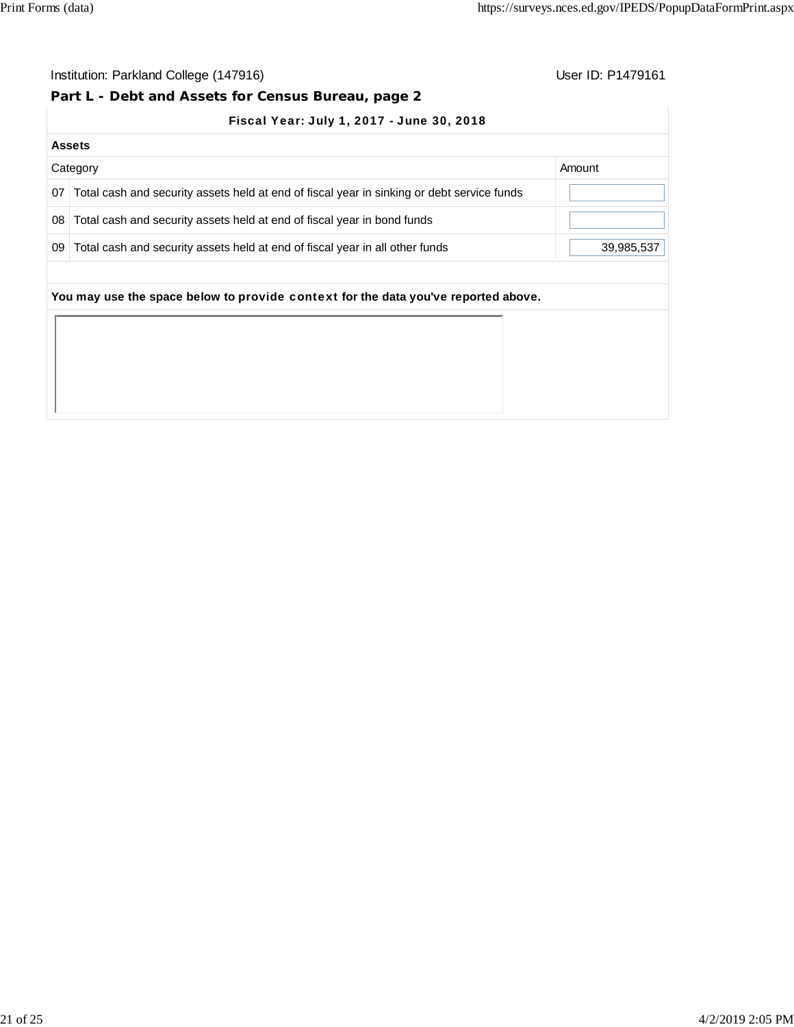# **Part L - Debt and Assets for Census Bureau, page 2**

|  |  | Fiscal Year: July 1, 2017 - June 30, 2018 |
|--|--|-------------------------------------------|
|  |  |                                           |

|    | <b>Assets</b>                                                                              |            |
|----|--------------------------------------------------------------------------------------------|------------|
|    | Category                                                                                   | Amount     |
| 07 | Total cash and security assets held at end of fiscal year in sinking or debt service funds |            |
| 08 | Total cash and security assets held at end of fiscal year in bond funds                    |            |
| 09 | Total cash and security assets held at end of fiscal year in all other funds               | 39,985,537 |
|    | You may use the space below to provide context for the data you've reported above.         |            |
|    |                                                                                            |            |
|    |                                                                                            |            |
|    |                                                                                            |            |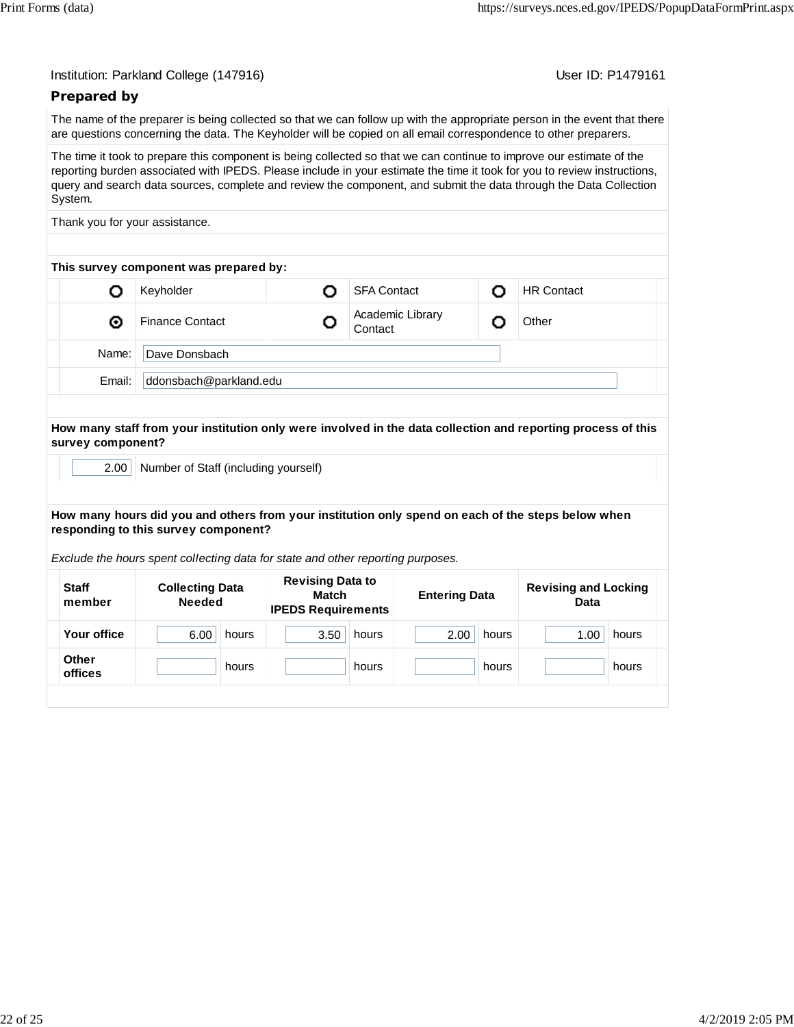| Institution: Parkland College (147916) |  |  |  |
|----------------------------------------|--|--|--|
|----------------------------------------|--|--|--|

User ID: P1479161

#### **Prepared by**

The name of the preparer is being collected so that we can follow up with the appropriate person in the event that there are questions concerning the data. The Keyholder will be copied on all email correspondence to other preparers.

The time it took to prepare this component is being collected so that we can continue to improve our estimate of the reporting burden associated with IPEDS. Please include in your estimate the time it took for you to review instructions, query and search data sources, complete and review the component, and submit the data through the Data Collection System.

Thank you for your assistance.

|        | This survey component was prepared by: |  |                             |                   |  |
|--------|----------------------------------------|--|-----------------------------|-------------------|--|
|        | Keyholder                              |  | <b>SFA Contact</b>          | <b>HR Contact</b> |  |
| ◉      | <b>Finance Contact</b>                 |  | Academic Library<br>Contact | Other             |  |
| Name:  | Dave Donsbach                          |  |                             |                   |  |
| Email: | ddonsbach@parkland.edu                 |  |                             |                   |  |

#### **How many staff from your institution only were involved in the data collection and reporting process of this survey component?**

2.00 Number of Staff (including yourself)

#### **How many hours did you and others from your institution only spend on each of the steps below when responding to this survey component?**

*Exclude the hours spent collecting data for state and other reporting purposes.*

| <b>Staff</b><br>member  | <b>Collecting Data</b><br><b>Needed</b> | <b>Revising Data to</b><br>Match<br><b>IPEDS Requirements</b> | <b>Entering Data</b> | <b>Revising and Locking</b><br><b>Data</b> |  |
|-------------------------|-----------------------------------------|---------------------------------------------------------------|----------------------|--------------------------------------------|--|
| Your office             | 6.00<br>hours                           | 3.50<br>hours                                                 | 2.00<br>hours        | 1.00<br>hours                              |  |
| <b>Other</b><br>offices | hours                                   | hours                                                         | hours                | hours                                      |  |
|                         |                                         |                                                               |                      |                                            |  |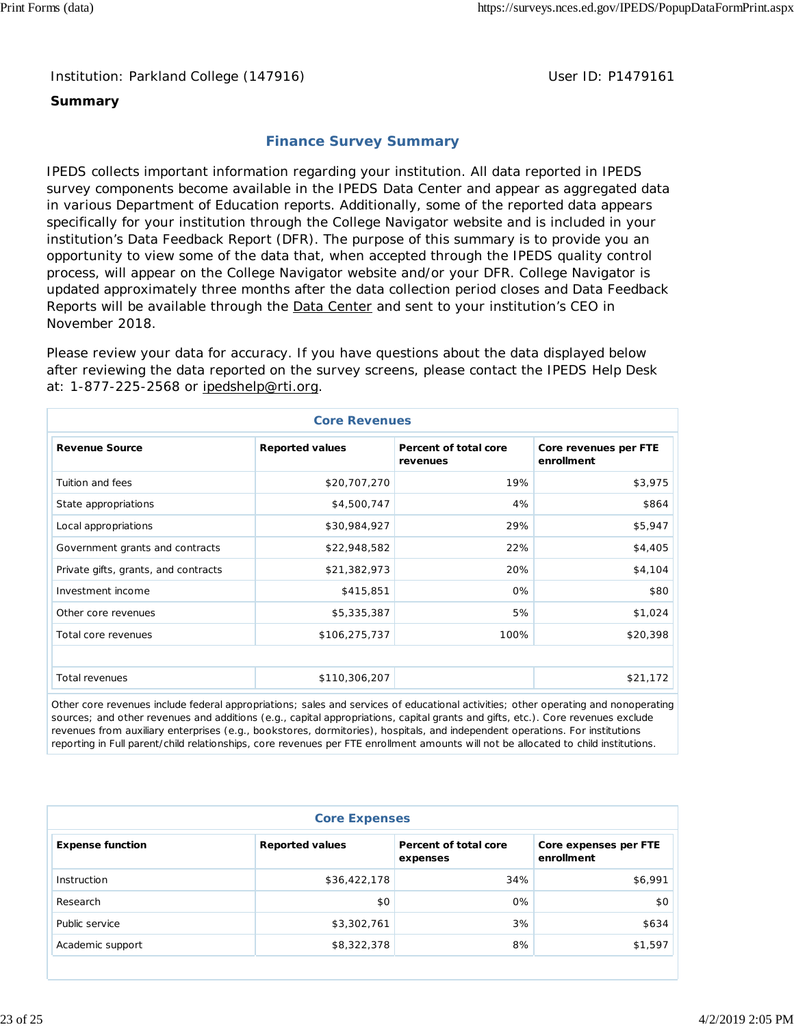Institution: Parkland College (147916) **Department College (1479161** User ID: P1479161

### **Summary**

## **Finance Survey Summary**

IPEDS collects important information regarding your institution. All data reported in IPEDS survey components become available in the IPEDS Data Center and appear as aggregated data in various Department of Education reports. Additionally, some of the reported data appears specifically for your institution through the College Navigator website and is included in your institution's Data Feedback Report (DFR). The purpose of this summary is to provide you an opportunity to view some of the data that, when accepted through the IPEDS quality control process, will appear on the College Navigator website and/or your DFR. College Navigator is updated approximately three months after the data collection period closes and Data Feedback Reports will be available through the **Data Center and sent to your institution's CEO** in November 2018.

Please review your data for accuracy. If you have questions about the data displayed below after reviewing the data reported on the survey screens, please contact the IPEDS Help Desk at: 1-877-225-2568 or ipedshelp@rti.org.

| <b>Core Revenues</b>                 |                        |                                   |                                     |  |  |  |  |
|--------------------------------------|------------------------|-----------------------------------|-------------------------------------|--|--|--|--|
| <b>Revenue Source</b>                | <b>Reported values</b> | Percent of total core<br>revenues | Core revenues per FTE<br>enrollment |  |  |  |  |
| Tuition and fees                     | \$20,707,270           | 19%                               | \$3,975                             |  |  |  |  |
| State appropriations                 | \$4,500,747            | 4%                                | \$864                               |  |  |  |  |
| Local appropriations                 | \$30,984,927           | 29%                               | \$5,947                             |  |  |  |  |
| Government grants and contracts      | \$22,948,582           | 22%                               | \$4,405                             |  |  |  |  |
| Private gifts, grants, and contracts | \$21,382,973           | 20%                               | \$4,104                             |  |  |  |  |
| Investment income                    | \$415,851              | 0%                                | \$80                                |  |  |  |  |
| Other core revenues                  | \$5,335,387            | 5%                                | \$1,024                             |  |  |  |  |
| Total core revenues                  | \$106,275,737          | 100%                              | \$20,398                            |  |  |  |  |
|                                      |                        |                                   |                                     |  |  |  |  |
| Total revenues                       | \$110,306,207          |                                   | \$21,172                            |  |  |  |  |

Other core revenues include federal appropriations; sales and services of educational activities; other operating and nonoperating sources; and other revenues and additions (e.g., capital appropriations, capital grants and gifts, etc.). Core revenues exclude revenues from auxiliary enterprises (e.g., bookstores, dormitories), hospitals, and independent operations. For institutions reporting in Full parent/child relationships, core revenues per FTE enrollment amounts will not be allocated to child institutions.

| <b>Core Expenses</b>    |                        |                                   |                                     |  |  |  |  |  |
|-------------------------|------------------------|-----------------------------------|-------------------------------------|--|--|--|--|--|
| <b>Expense function</b> | <b>Reported values</b> | Percent of total core<br>expenses | Core expenses per FTE<br>enrollment |  |  |  |  |  |
| Instruction             | \$36,422,178           | 34%                               | \$6,991                             |  |  |  |  |  |
| Research                | \$0                    | 0%                                | \$0                                 |  |  |  |  |  |
| Public service          | \$3,302,761            | 3%                                | \$634                               |  |  |  |  |  |
| Academic support        | \$8,322,378            | 8%                                | \$1,597                             |  |  |  |  |  |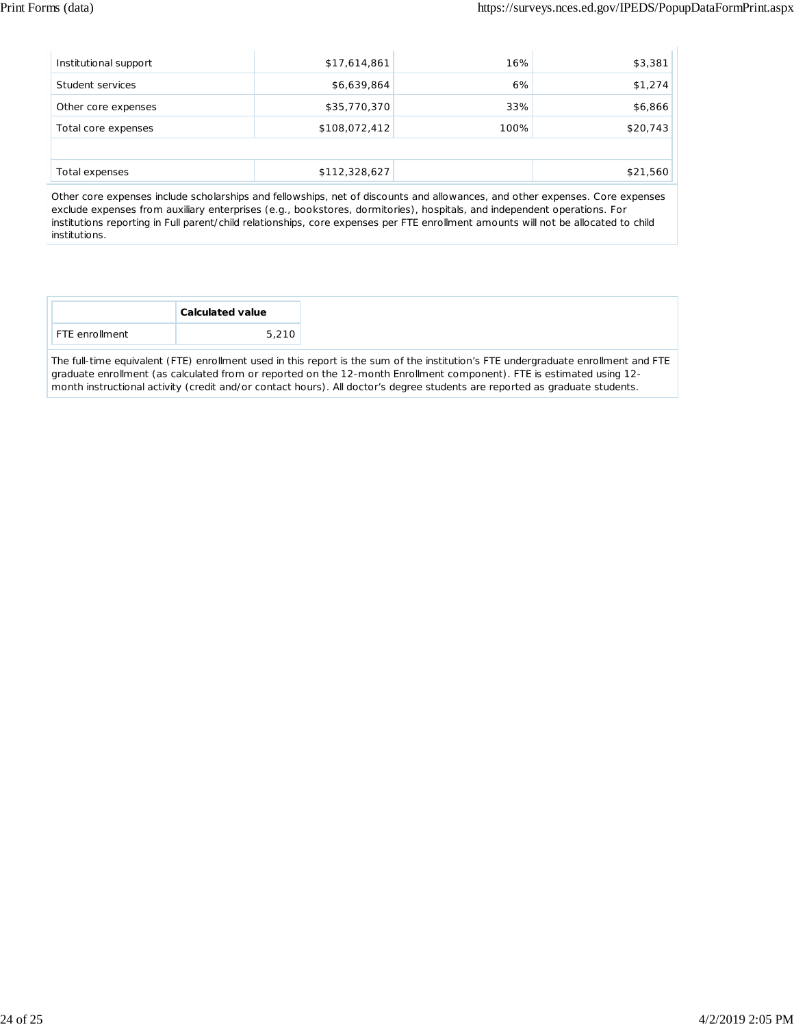| \$17,614,861  | 16%  | \$3,381  |
|---------------|------|----------|
| \$6,639,864   | 6%   | \$1,274  |
| \$35,770,370  | 33%  | \$6,866  |
| \$108,072,412 | 100% | \$20,743 |
|               |      |          |
| \$112,328,627 |      | \$21,560 |
|               |      |          |

Other core expenses include scholarships and fellowships, net of discounts and allowances, and other expenses. Core expenses exclude expenses from auxiliary enterprises (e.g., bookstores, dormitories), hospitals, and independent operations. For institutions reporting in Full parent/child relationships, core expenses per FTE enrollment amounts will not be allocated to child institutions.

| <b>Calculated value</b> |       |
|-------------------------|-------|
| <b>FTE</b> enrollment   | 5,210 |

The full-time equivalent (FTE) enrollment used in this report is the sum of the institution's FTE undergraduate enrollment and FTE graduate enrollment (as calculated from or reported on the 12-month Enrollment component). FTE is estimated using 12 month instructional activity (credit and/or contact hours). All doctor's degree students are reported as graduate students.